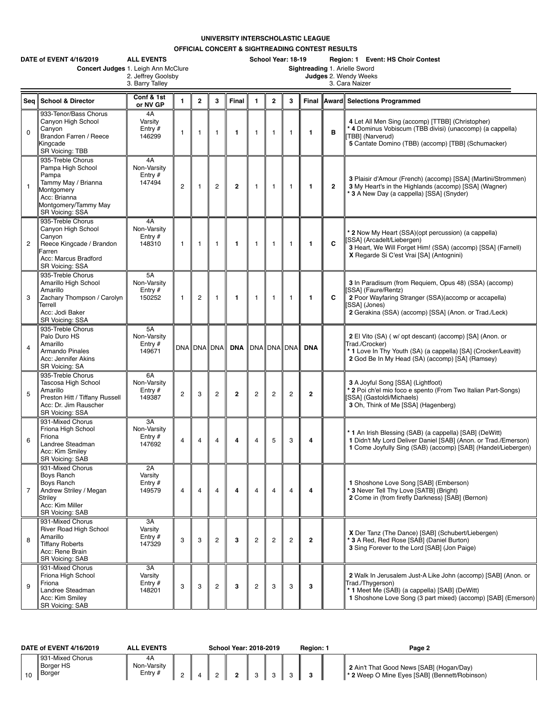## **UNIVERSITY INTERSCHOLASTIC LEAGUE**

**OFFICIAL CONCERT & SIGHTREADING CONTEST RESULTS**

|                | DATE of EVENT 4/16/2019<br>Concert Judges 1. Leigh Ann McClure                                                                                  | <b>ALL EVENTS</b><br>2. Jeffrey Goolsby<br>3. Barry Talley |                |              |                |                |                         | School Year: 18-19<br>Region: 1 Event: HS Choir Contest<br>Sightreading 1. Arielle Sword<br>Judges 2. Wendy Weeks<br>3. Cara Naizer |                |              |                |                                                                                                                                                                                                               |  |  |  |
|----------------|-------------------------------------------------------------------------------------------------------------------------------------------------|------------------------------------------------------------|----------------|--------------|----------------|----------------|-------------------------|-------------------------------------------------------------------------------------------------------------------------------------|----------------|--------------|----------------|---------------------------------------------------------------------------------------------------------------------------------------------------------------------------------------------------------------|--|--|--|
| Sea            | <b>School &amp; Director</b>                                                                                                                    | Conf & 1st<br>or NV GP                                     | $\mathbf{1}$   | $\mathbf{2}$ | 3              | Final          | $\mathbf{1}$            | $\overline{2}$                                                                                                                      | 3              | Final        |                | Award Selections Programmed                                                                                                                                                                                   |  |  |  |
| $\mathbf 0$    | 933-Tenor/Bass Chorus<br>Canyon High School<br>Canyon<br>Brandon Farren / Reece<br>Kingcade<br>SR Voicing: TBB                                  | 4A<br>Varsity<br>Entry $#$<br>146299                       | $\mathbf{1}$   | 1            | $\overline{1}$ | $\mathbf{1}$   | $\mathbf{1}$            | $\mathbf{1}$                                                                                                                        | $\mathbf{1}$   | 1            | в              | 4 Let All Men Sing (accomp) [TTBB] (Christopher)<br>* 4 Dominus Vobiscum (TBB divisi) (unaccomp) (a cappella)<br>TBB] (Narverud)<br>5 Cantate Domino (TBB) (accomp) [TBB] (Schumacker)                        |  |  |  |
| $\mathbf{1}$   | 935-Treble Chorus<br>Pampa High School<br>Pampa<br>Tammy May / Brianna<br>Montgomery<br>Acc: Brianna<br>Montgomery/Tammy May<br>SR Voicing: SSA | 4A<br>Non-Varsity<br>Entry $#$<br>147494                   | 2              | $\mathbf{1}$ | $\overline{2}$ | $\overline{2}$ | $\mathbf{1}$            | $\mathbf{1}$                                                                                                                        | $\mathbf{1}$   | 1            | $\overline{2}$ | 3 Plaisir d'Amour (French) (accomp) [SSA] (Martini/Strommen)<br>3 My Heart's in the Highlands (accomp) [SSA] (Wagner)<br>* 3 A New Day (a cappella) [SSA] (Snyder)                                            |  |  |  |
| $\overline{2}$ | 935-Treble Chorus<br>Canyon High School<br>Canyon<br>Reece Kingcade / Brandon<br>Farren<br>Acc: Marcus Bradford<br>SR Voicing: SSA              | 4A<br>Non-Varsity<br>Entry $#$<br>148310                   | $\mathbf{1}$   | 1            | $\mathbf{1}$   | $\mathbf{1}$   | $\mathbf{1}$            | $\mathbf{1}$                                                                                                                        | $\mathbf{1}$   | 1            | C              | * 2 Now My Heart (SSA)(opt percussion) (a cappella)<br>[SSA] (Arcadelt/Liebergen)<br>3 Heart, We Will Forget Him! (SSA) (accomp) [SSA] (Farnell)<br>X Regarde Si C'est Vrai [SA] (Antognini)                  |  |  |  |
| 3              | 935-Treble Chorus<br>Amarillo High School<br>Amarillo<br>Zachary Thompson / Carolyn<br>Terrell<br>Acc: Jodi Baker<br>SR Voicing: SSA            | 5A<br>Non-Varsity<br>Entry #<br>150252                     | $\mathbf{1}$   | 2            | $\mathbf{1}$   | $\mathbf{1}$   | $\mathbf{1}$            | $\mathbf{1}$                                                                                                                        | $\mathbf{1}$   | 1            | C              | 3 In Paradisum (from Requiem, Opus 48) (SSA) (accomp)<br>SSA] (Faure/Rentz)<br>2 Poor Wayfaring Stranger (SSA)(accomp or accapella)<br>[SSA] (Jones)<br>2 Gerakina (SSA) (accomp) [SSA] (Anon. or Trad./Leck) |  |  |  |
| $\overline{4}$ | 935-Treble Chorus<br>Palo Duro HS<br>Amarillo<br><b>Armando Pinales</b><br>Acc: Jennifer Akins<br><b>SR Voicing: SA</b>                         | 5A<br>Non-Varsity<br>Entry $#$<br>149671                   |                | DNA DNA DNA  |                | DNA            |                         |                                                                                                                                     | DNA DNA DNA    | <b>DNA</b>   |                | 2 El Vito (SA) (w/ opt descant) (accomp) [SA] (Anon. or<br>Trad./Crocker)<br>* 1 Love In Thy Youth (SA) (a cappella) [SA] (Crocker/Leavitt)<br>2 God Be In My Head (SA) (accomp) [SA] (Ramsey)                |  |  |  |
| 5              | 935-Treble Chorus<br>Tascosa High School<br>Amarillo<br>Preston Hitt / Tiffany Russell<br>Acc: Dr. Jim Rauscher<br>SR Voicing: SSA              | 6A<br>Non-Varsity<br>Entry #<br>149387                     | $\overline{2}$ | 3            | $\overline{c}$ | $\mathbf{2}$   | $\overline{c}$          | $\overline{2}$                                                                                                                      | $\overline{c}$ | $\mathbf{2}$ |                | 3 A Joyful Song [SSA] (Lightfoot)<br>* 2 Poi ch'el mio foco e spento (From Two Italian Part-Songs)<br>[SSA] (Gastoldi/Michaels)<br>3 Oh, Think of Me [SSA] (Hagenberg)                                        |  |  |  |
| 6              | 931-Mixed Chorus<br>Friona High School<br>Friona<br>Landree Steadman<br>Acc: Kim Smiley<br>SR Voicin <u>g: SAB</u>                              | 3A<br>Non-Varsity<br>Entry #<br>147692                     | $\overline{4}$ | 4            | $\overline{4}$ | 4              | $\overline{4}$          | 5                                                                                                                                   | 3              | 4            |                | * 1 An Irish Blessing (SAB) (a cappella) [SAB] (DeWitt)<br>1 Didn't My Lord Deliver Daniel [SAB] (Anon. or Trad./Emerson)<br>1 Come Joyfully Sing (SAB) (accomp) [SAB] (Handel/Liebergen)                     |  |  |  |
| $\overline{7}$ | 931-Mixed Chorus<br>Boys Ranch<br>Boys Ranch<br>Andrew Striley / Megan<br>Striley<br>Acc: Kim Miller<br>SR Voicing: SAB                         | 2A<br>Varsity<br>Entry $#$<br>149579                       | $\overline{4}$ | 4            | $\overline{4}$ | 4              | $\overline{4}$          | 4                                                                                                                                   | $\overline{4}$ | 4            |                | 1 Shoshone Love Song [SAB] (Emberson)<br>* 3 Never Tell Thy Love [SATB] (Bright)<br>2 Come in (from firefly Darkness) [SAB] (Bernon)                                                                          |  |  |  |
| 8              | 931-Mixed Chorus<br>River Road High School<br>Amarillo<br><b>Tiffany Roberts</b><br>Acc: Rene Brain<br>SR Voicing: SAB                          | 3A<br>Varsity<br>Entry $#$<br>147329                       | 3              | 3            | $\overline{2}$ | 3              | $\overline{c}$          | 2                                                                                                                                   | $\overline{2}$ | $\mathbf{2}$ |                | X Der Tanz (The Dance) [SAB] (Schubert/Liebergen)<br>* 3 A Red, Red Rose [SAB] (Daniel Burton)<br>3 Sing Forever to the Lord [SAB] (Jon Paige)                                                                |  |  |  |
| 9              | 931-Mixed Chorus<br>Friona High School<br>Friona<br>Landree Steadman<br>Acc: Kim Smiley<br><b>SR Voicing: SAB</b>                               | 3A<br>Varsity<br>Entry $#$<br>148201                       | 3              | 3            | $\overline{c}$ | 3              | $\overline{\mathbf{c}}$ | 3                                                                                                                                   | 3              | 3            |                | 2 Walk In Jerusalem Just-A Like John (accomp) [SAB] (Anon. or<br>Trad./Thygerson)<br>* 1 Meet Me (SAB) (a cappella) [SAB] (DeWitt)<br>1 Shoshone Love Song (3 part mixed) (accomp) [SAB] (Emerson)            |  |  |  |

|    | DATE of EVENT 4/16/2019                        | <b>ALL EVENTS</b>               |  | School Year: 2018-2019 |  | Region: | Page 2                                                                                               |
|----|------------------------------------------------|---------------------------------|--|------------------------|--|---------|------------------------------------------------------------------------------------------------------|
| 10 | 931-Mixed Chorus<br><b>Borger HS</b><br>Borger | 4A<br>Non-Varsity<br>$E$ ntry # |  |                        |  |         | 2 Ain't That Good News [SAB] (Hogan/Day)<br><sup>*</sup> 2 Weep O Mine Eyes [SAB] (Bennett/Robinson) |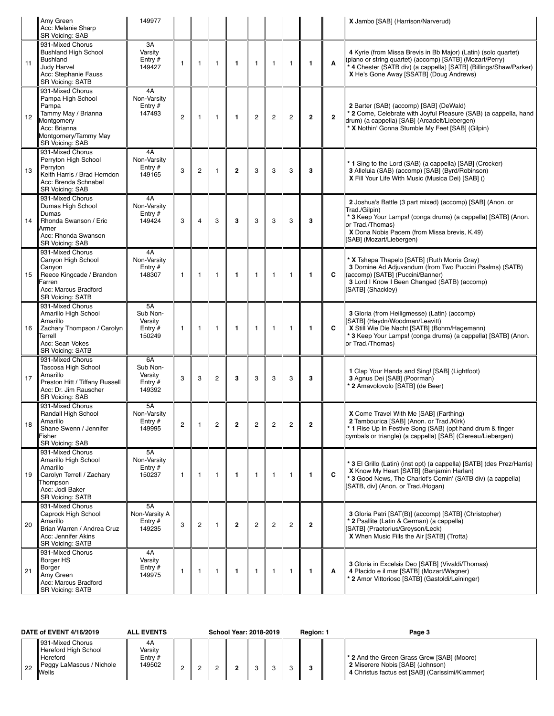|    | Amy Green<br>Acc: Melanie Sharp                                                                                                                                | 149977                                           |                |                |                |                |                |                |                |                |              | X Jambo [SAB] (Harrison/Narverud)                                                                                                                                                                                                           |
|----|----------------------------------------------------------------------------------------------------------------------------------------------------------------|--------------------------------------------------|----------------|----------------|----------------|----------------|----------------|----------------|----------------|----------------|--------------|---------------------------------------------------------------------------------------------------------------------------------------------------------------------------------------------------------------------------------------------|
| 11 | <b>SR Voicing: SAB</b><br>931-Mixed Chorus<br><b>Bushland High School</b><br><b>Bushland</b><br>Judy Harvel<br>Acc: Stephanie Fauss<br><b>SR Voicing: SATB</b> | 3A<br>Varsity<br>Entry $#$<br>149427             | $\mathbf{1}$   | $\mathbf{1}$   | $\mathbf{1}$   | $\mathbf{1}$   | $\mathbf{1}$   | $\mathbf{1}$   | $\mathbf{1}$   | $\mathbf{1}$   | A            | 4 Kyrie (from Missa Brevis in Bb Major) (Latin) (solo quartet)<br>(piano or string quartet) (accomp) [SATB] (Mozart/Perry)<br>* 4 Chester (SATB div) (a cappella) [SATB] (Billings/Shaw/Parker)<br>X He's Gone Away [SSATB] (Doug Andrews)  |
| 12 | 931-Mixed Chorus<br>Pampa High School<br>Pampa<br>Tammy May / Brianna<br>Montgomery<br>Acc: Brianna<br>Montgomery/Tammy May<br><b>SR Voicing: SAB</b>          | 4A<br>Non-Varsity<br>Entry $#$<br>147493         | $\overline{2}$ | $\mathbf{1}$   | $\mathbf{1}$   | $\mathbf{1}$   | $\overline{2}$ | $\overline{c}$ | $\overline{2}$ | $\overline{2}$ | $\mathbf{2}$ | 2 Barter (SAB) (accomp) [SAB] (DeWald)<br>* 2 Come, Celebrate with Joyful Pleasure (SAB) (a cappella, hand<br>drum) (a cappella) [SAB] (Arcadelt/Liebergen)<br>* X Nothin' Gonna Stumble My Feet [SAB] (Gilpin)                             |
| 13 | 931-Mixed Chorus<br>Perryton High School<br>Perryton<br>Keith Harris / Brad Herndon<br>Acc: Brenda Schnabel<br>SR Voicing: SAB                                 | 4A<br>Non-Varsity<br>Entry $#$<br>149165         | 3              | $\overline{c}$ | $\mathbf{1}$   | $\overline{2}$ | 3              | 3              | 3              | 3              |              | * 1 Sing to the Lord (SAB) (a cappella) [SAB] (Crocker)<br>3 Alleluia (SAB) (accomp) [SAB] (Byrd/Robinson)<br>X Fill Your Life With Music (Musica Dei) [SAB] ()                                                                             |
| 14 | 931-Mixed Chorus<br>Dumas High School<br>Dumas<br>Rhonda Swanson / Eric<br>Armer<br>Acc: Rhonda Swanson<br><b>SR Voicing: SAB</b>                              | 4A<br>Non-Varsity<br>Entry $#$<br>149424         | 3              | $\overline{4}$ | 3              | 3              | 3              | 3              | 3              | 3              |              | 2 Joshua's Battle (3 part mixed) (accomp) [SAB] (Anon. or<br>Trad./Gilpin)<br>* 3 Keep Your Lamps! (conga drums) (a cappella) [SATB] (Anon.<br>or Trad./Thomas)<br>X Dona Nobis Pacem (from Missa brevis, K.49)<br>[SAB] (Mozart/Liebergen) |
| 15 | 931-Mixed Chorus<br>Canyon High School<br>Canyon<br>Reece Kingcade / Brandon<br>Farren<br>Acc: Marcus Bradford<br><b>SR Voicing: SATB</b>                      | 4A<br>Non-Varsity<br>Entry $#$<br>148307         | $\mathbf{1}$   | 1              | $\mathbf{1}$   | $\mathbf{1}$   | $\mathbf{1}$   | $\mathbf{1}$   | $\mathbf{1}$   | $\mathbf{1}$   | C            | * X Tshepa Thapelo [SATB] (Ruth Morris Gray)<br>3 Domine Ad Adjuvandum (from Two Puccini Psalms) (SATB)<br>(accomp) [SATB] (Puccini/Banner)<br>3 Lord I Know I Been Changed (SATB) (accomp)<br>[SATB] (Shackley)                            |
| 16 | 931-Mixed Chorus<br>Amarillo High School<br>Amarillo<br>Zachary Thompson / Carolyn<br>Terrell<br>Acc: Sean Vokes<br><b>SR Voicing: SATB</b>                    | 5A<br>Sub Non-<br>Varsity<br>Entry $#$<br>150249 | $\mathbf{1}$   | $\mathbf{1}$   | $\mathbf{1}$   | $\mathbf{1}$   | $\mathbf{1}$   | $\mathbf{1}$   | $\mathbf{1}$   | $\mathbf{1}$   | C            | 3 Gloria (from Heiligmesse) (Latin) (accomp)<br>[SATB] (Haydn/Woodman/Leavitt)<br>X Still Wie Die Nacht [SATB] (Bohm/Hagemann)<br>* 3 Keep Your Lamps! (conga drums) (a cappella) [SATB] (Anon.<br>or Trad./Thomas)                         |
| 17 | 931-Mixed Chorus<br>Tascosa High School<br>Amarillo<br>Preston Hitt / Tiffany Russell<br>Acc: Dr. Jim Rauscher<br><b>SR Voicing: SAB</b>                       | 6A<br>Sub Non-<br>Varsity<br>Entry $#$<br>149392 | 3              | 3              | $\overline{c}$ | 3              | 3              | 3              | 3              | 3              |              | 1 Clap Your Hands and Sing! [SAB] (Lightfoot)<br>3 Agnus Dei [SAB] (Poorman)<br>* 2 Amavolovolo [SATB] (de Beer)                                                                                                                            |
| 18 | 931-Mixed Chorus<br>Randall High School<br>Amarillo<br>Shane Swenn / Jennifer<br>Fisher<br><b>SR Voicing: SAB</b>                                              | 5A<br>Non-Varsity<br>Entry#<br>149995            | $\overline{c}$ | 1              | $\mathbf{2}$   | $\overline{2}$ | $\overline{c}$ | $\overline{2}$ | $\overline{c}$ | $\mathbf{2}$   |              | X Come Travel With Me [SAB] (Farthing)<br>2 Tambourica [SAB] (Anon. or Trad./Kirk)<br>* 1 Rise Up In Festive Song (SAB) (opt hand drum & finger<br>cymbals or triangle) (a cappella) [SAB] (Clereau/Liebergen)                              |
| 19 | 931-Mixed Chorus<br>Amarillo High School<br>Amarillo<br>Carolyn Terrell / Zachary<br>Thompson<br>Acc: Jodi Baker<br><b>SR Voicing: SATB</b>                    | 5A<br>Non-Varsity<br>Entry $#$<br>150237         | $\mathbf{1}$   | $\mathbf{1}$   | $\mathbf{1}$   | $\mathbf{1}$   | $\mathbf{1}$   | $\mathbf{1}$   | $\mathbf{1}$   | $\mathbf{1}$   | C            | * 3 El Grillo (Latin) (inst opt) (a cappella) [SATB] (des Prez/Harris)<br>X Know My Heart [SATB] (Benjamin Harlan)<br>* 3 Good News, The Chariot's Comin' (SATB div) (a cappella)<br>[SATB, div] (Anon. or Trad./Hogan)                     |
| 20 | 931-Mixed Chorus<br>Caprock High School<br>Amarillo<br>Brian Warren / Andrea Cruz<br>Acc: Jennifer Akins<br><b>SR Voicing: SATB</b>                            | 5A<br>Non-Varsity A<br>Entry $#$<br>149235       | 3              | $\overline{c}$ | $\mathbf{1}$   | $\overline{2}$ | $\overline{c}$ | $\overline{c}$ | $\mathbf{2}$   | $\overline{2}$ |              | 3 Gloria Patri [SAT(B)] (accomp) [SATB] (Christopher)<br>* 2 Psallite (Latin & German) (a cappella)<br>[SATB] (Praetorius/Greyson/Leck)<br>X When Music Fills the Air [SATB] (Trotta)                                                       |
| 21 | 931-Mixed Chorus<br>Borger HS<br>Borger<br>Amy Green<br>Acc: Marcus Bradford<br><b>SR Voicing: SATB</b>                                                        | 4A<br>Varsity<br>Entry $#$<br>149975             | $\mathbf{1}$   | $\mathbf{1}$   | $\mathbf{1}$   | $\mathbf{1}$   | $\mathbf{1}$   | 1              | $\mathbf{1}$   | 1              | Α            | 3 Gloria in Excelsis Deo [SATB] (Vivaldi/Thomas)<br>4 Placido e il mar [SATB] (Mozart/Wagner)<br>* 2 Amor Vittorioso [SATB] (Gastoldi/Leininger)                                                                                            |

|    | DATE of EVENT 4/16/2019                                                                          | <b>ALL EVENTS</b>                    | <b>School Year: 2018-2019</b> |  |  |  |        | Region: 1 | Page 3 |                                                                                                                                          |
|----|--------------------------------------------------------------------------------------------------|--------------------------------------|-------------------------------|--|--|--|--------|-----------|--------|------------------------------------------------------------------------------------------------------------------------------------------|
| 22 | 931-Mixed Chorus<br>Hereford High School<br>Hereford<br>Peggy LaMascus / Nichole<br><b>Wells</b> | 4A<br>Varsitv<br>Entry $#$<br>149502 |                               |  |  |  | $\sim$ |           |        | <b>1</b> 2 And the Green Grass Grew [SAB] (Moore)<br>2 Miserere Nobis [SAB] (Johnson)<br>4 Christus factus est [SAB] (Carissimi/Klammer) |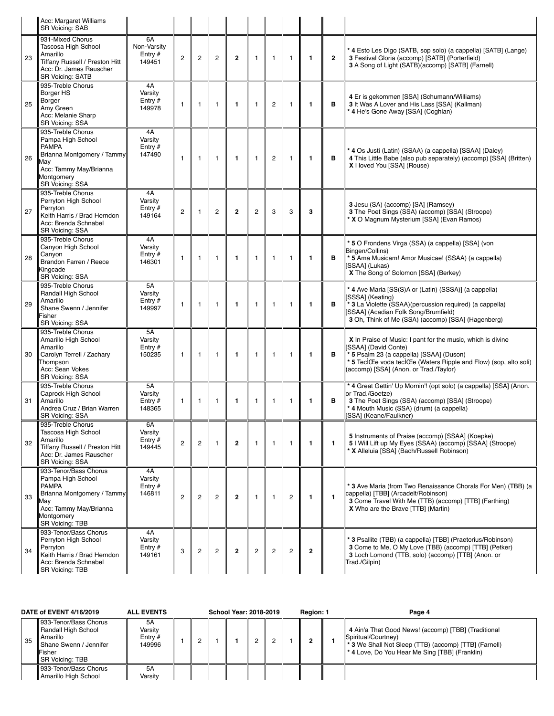|    | Acc: Margaret Williams<br><b>SR Voicing: SAB</b>                                                                                                           |                                          |                |                |                |                |                |                |                |                |                |                                                                                                                                                                                                                                                |
|----|------------------------------------------------------------------------------------------------------------------------------------------------------------|------------------------------------------|----------------|----------------|----------------|----------------|----------------|----------------|----------------|----------------|----------------|------------------------------------------------------------------------------------------------------------------------------------------------------------------------------------------------------------------------------------------------|
| 23 | 931-Mixed Chorus<br>Tascosa High School<br>Amarillo<br>Tiffany Russell / Preston Hitt<br>Acc: Dr. James Rauscher<br><b>SR Voicing: SATB</b>                | 6A<br>Non-Varsity<br>Entry $#$<br>149451 | $\mathbf{2}$   | $\mathbf{2}$   | $\overline{c}$ | $\overline{2}$ | $\mathbf{1}$   | $\mathbf{1}$   | $\mathbf{1}$   | $\mathbf{1}$   | $\overline{2}$ | * 4 Esto Les Digo (SATB, sop solo) (a cappella) [SATB] (Lange)<br>3 Festival Gloria (accomp) [SATB] (Porterfield)<br>3 A Song of Light (SATB)(accomp) [SATB] (Farnell)                                                                         |
| 25 | 935-Treble Chorus<br>Borger HS<br>Borger<br>Amy Green<br>Acc: Melanie Sharp<br>SR Voicing: SSA                                                             | 4A<br>Varsity<br>Entry $#$<br>149978     | $\mathbf{1}$   | $\mathbf{1}$   | $\mathbf{1}$   | $\mathbf{1}$   | $\mathbf{1}$   | $\overline{2}$ | $\mathbf{1}$   | $\mathbf{1}$   | в              | 4 Er is gekommen [SSA] (Schumann/Williams)<br>3 It Was A Lover and His Lass [SSA] (Kallman)<br>* 4 He's Gone Away [SSA] (Coghlan)                                                                                                              |
| 26 | 935-Treble Chorus<br>Pampa High School<br><b>PAMPA</b><br>Brianna Montgomery / Tammy<br>May<br>Acc: Tammy May/Brianna<br>Montgomery<br>SR Voicing: SSA     | 4A<br>Varsity<br>Entry $#$<br>147490     | $\mathbf{1}$   | $\mathbf{1}$   | $\mathbf{1}$   | $\mathbf{1}$   | $\mathbf{1}$   | $\overline{2}$ | $\mathbf{1}$   | $\mathbf{1}$   | в              | * 4 Os Justi (Latin) (SSAA) (a cappella) [SSAA] (Daley)<br>4 This Little Babe (also pub separately) (accomp) [SSA] (Britten)<br>X I loved You [SSA] (Rouse)                                                                                    |
| 27 | 935-Treble Chorus<br>Perryton High School<br>Perryton<br>Keith Harris / Brad Herndon<br>Acc: Brenda Schnabel<br>SR Voicing: SSA                            | 4A<br>Varsity<br>Entry $#$<br>149164     | $\overline{c}$ | 1              | $\overline{c}$ | $\overline{2}$ | $\overline{2}$ | 3              | 3              | 3              |                | 3 Jesu (SA) (accomp) [SA] (Ramsey)<br>3 The Poet Sings (SSA) (accomp) [SSA] (Stroope)<br>* X O Magnum Mysterium [SSA] (Evan Ramos)                                                                                                             |
| 28 | 935-Treble Chorus<br>Canyon High School<br>Canyon<br>Brandon Farren / Reece<br>Kingcade<br>SR Voicing: SSA                                                 | 4A<br>Varsity<br>Entry $#$<br>146301     | $\mathbf{1}$   | $\mathbf{1}$   | 1              | $\mathbf{1}$   | $\mathbf{1}$   | 1              | $\mathbf{1}$   | $\mathbf{1}$   | в              | * 5 O Frondens Virga (SSA) (a cappella) [SSA] (von<br>Bingen/Collins)<br>* 5 Ama Musicam! Amor Musicae! (SSAA) (a cappella)<br>[SSAA] (Lukas)<br>X The Song of Solomon [SSA] (Berkey)                                                          |
| 29 | 935-Treble Chorus<br>Randall High School<br>Amarillo<br>Shane Swenn / Jennifer<br>Fisher<br>SR Voicing: SSA                                                | 5A<br>Varsity<br>Entry $#$<br>149997     | $\mathbf{1}$   | $\mathbf{1}$   | $\mathbf{1}$   | $\mathbf{1}$   | $\mathbf{1}$   | $\mathbf{1}$   | $\mathbf{1}$   | $\mathbf{1}$   | в              | * 4 Ave Maria [SS(S)A or (Latin) (SSSA)] (a cappella)<br>[SSSA] (Keating)<br>* 3 La Violette (SSAA)(percussion required) (a cappella)<br>SSAA] (Acadian Folk Song/Brumfield)<br>3 Oh, Think of Me (SSA) (accomp) [SSA] (Hagenberg)             |
| 30 | 935-Treble Chorus<br>Amarillo High School<br>Amarillo<br>Carolyn Terrell / Zachary<br>Thompson<br>Acc: Sean Vokes<br>SR Voicing: SSA                       | 5A<br>Varsity<br>Entry $#$<br>150235     | $\mathbf{1}$   | $\mathbf{1}$   | $\mathbf{1}$   | $\mathbf{1}$   | $\mathbf{1}$   | $\mathbf{1}$   | $\overline{1}$ | 1              | в              | X In Praise of Music: I pant for the music, which is divine<br>SSAA] (David Conte)<br>* 5 Psalm 23 (a cappella) [SSAA] (Duson)<br>* 5 TeclCEe voda teclCEe (Waters Ripple and Flow) (sop, alto soli)<br>(accomp) [SSA] (Anon. or Trad./Taylor) |
| 31 | 935-Treble Chorus<br>Caprock High School<br>Amarillo<br>Andrea Cruz / Brian Warren<br>SR Voicing: SSA                                                      | 5A<br>Varsity<br>Entry $#$<br>148365     | 1              | 1              | $\mathbf{1}$   | $\mathbf{1}$   | $\mathbf{1}$   | $\mathbf{1}$   | $\mathbf{1}$   | $\mathbf{1}$   | в              | * 4 Great Gettin' Up Mornin'! (opt solo) (a cappella) [SSA] (Anon.<br>or Trad./Goetze)<br>3 The Poet Sings (SSA) (accomp) [SSA] (Stroope)<br>* 4 Mouth Music (SSA) (drum) (a cappella)<br>[SSA] (Keane/Faulkner)                               |
| 32 | 935-Treble Chorus<br>Tascosa High School<br>Amarillo<br>Tiffany Russell / Preston Hitt<br>Acc: Dr. James Rauscher<br>SR Voicing: SSA                       | 6A<br>Varsity<br>Entry $#$<br>149445     | $\mathbf{2}$   | $\overline{c}$ | $\mathbf{1}$   | $\overline{2}$ | $\mathbf{1}$   | $\mathbf{1}$   | $\mathbf{1}$   | $\mathbf{1}$   | $\mathbf{1}$   | 5 Instruments of Praise (accomp) [SSAA] (Koepke)<br>5   Will Lift up My Eyes (SSAA) (accomp) [SSAA] (Stroope)<br>* X Alleluia [SSA] (Bach/Russell Robinson)                                                                                    |
| 33 | 933-Tenor/Bass Chorus<br>Pampa High School<br><b>PAMPA</b><br>Brianna Montgomery / Tammy<br>May<br>Acc: Tammy May/Brianna<br>Montgomery<br>SR Voicing: TBB | 4A<br>Varsity<br>Entry #<br>146811       | 2              | $\mathbf{2}$   | $\mathbf{2}$   | $\overline{2}$ | $\mathbf{1}$   | $\mathbf{1}$   | $\overline{c}$ | $\mathbf{1}$   | $\mathbf{1}$   | * 3 Ave Maria (from Two Renaissance Chorals For Men) (TBB) (a<br>cappella) [TBB] (Arcadelt/Robinson)<br>3 Come Travel With Me (TTB) (accomp) [TTB] (Farthing)<br>X Who are the Brave [TTB] (Martin)                                            |
| 34 | 933-Tenor/Bass Chorus<br>Perryton High School<br>Perryton<br>Keith Harris / Brad Herndon<br>Acc: Brenda Schnabel<br>SR Voicing: TBB                        | 4A<br>Varsity<br>Entry $#$<br>149161     | 3              | $\overline{c}$ | $\overline{c}$ | $\overline{2}$ | $\overline{c}$ | 2              | $\overline{c}$ | $\overline{2}$ |                | * 3 Psallite (TBB) (a cappella) [TBB] (Praetorius/Robinson)<br>3 Come to Me, O My Love (TBB) (accomp) [TTB] (Petker)<br>3 Loch Lomond (TTB, solo) (accomp) [TTB] (Anon. or<br>Trad./Gilpin)                                                    |

| DATE of EVENT 4/16/2019 |                                                                                                                        | <b>ALL EVENTS</b>                    | <b>School Year: 2018-2019</b> |  |  |  |  | Region: 1 | Page 4 |                                                                                                                                                                                                         |
|-------------------------|------------------------------------------------------------------------------------------------------------------------|--------------------------------------|-------------------------------|--|--|--|--|-----------|--------|---------------------------------------------------------------------------------------------------------------------------------------------------------------------------------------------------------|
| 35                      | 933-Tenor/Bass Chorus<br>Randall High School<br>Amarillo<br>Shane Swenn / Jennifer<br><b>Fisher</b><br>SR Voicing: TBB | 5A<br>Varsitv<br>Entry $#$<br>149996 |                               |  |  |  |  |           |        | 4 Ain'a That Good News! (accomp) [TBB] (Traditional<br>Spiritual/Courtney)<br><b>* 3 We Shall Not Sleep (TTB) (accomp) [TTB] (Farnell)</b><br><sup>1</sup> 4 Love, Do You Hear Me Sing [TBB] (Franklin) |
|                         | 933-Tenor/Bass Chorus<br>Amarillo High School                                                                          | 5A<br>Varsitv                        |                               |  |  |  |  |           |        |                                                                                                                                                                                                         |